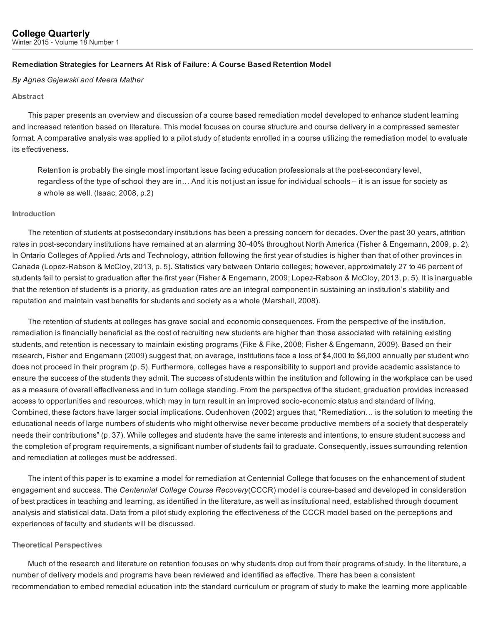## Remediation Strategies for Learners At Risk of Failure: A Course Based Retention Model

#### *By Agnes Gajewski and Meera Mather*

### Abstract

This paper presents an overview and discussion of a course based remediation model developed to enhance student learning and increased retention based on literature. This model focuses on course structure and course delivery in a compressed semester format. A comparative analysis was applied to a pilot study of students enrolled in a course utilizing the remediation model to evaluate its effectiveness.

Retention is probably the single most important issue facing education professionals at the post-secondary level, regardless of the type of school they are in… And it is not just an issue for individual schools – it is an issue for society as a whole as well. (Isaac, 2008, p.2)

#### Introduction

The retention of students at postsecondary institutions has been a pressing concern for decades. Over the past 30 years, attrition rates in post-secondary institutions have remained at an alarming 30-40% throughout North America (Fisher & Engemann, 2009, p. 2). In Ontario Colleges of Applied Arts and Technology, attrition following the first year of studies is higher than that of other provinces in Canada (Lopez-Rabson & McCloy, 2013, p. 5). Statistics vary between Ontario colleges; however, approximately 27 to 46 percent of students fail to persist to graduation after the first year (Fisher & Engemann, 2009; Lopez-Rabson & McCloy, 2013, p. 5). It is inarguable that the retention of students is a priority, as graduation rates are an integral component in sustaining an institution's stability and reputation and maintain vast benefits for students and society as a whole (Marshall, 2008).

The retention of students at colleges has grave social and economic consequences. From the perspective of the institution, remediation is financially beneficial as the cost of recruiting new students are higher than those associated with retaining existing students, and retention is necessary to maintain existing programs (Fike & Fike, 2008; Fisher & Engemann, 2009). Based on their research, Fisher and Engemann (2009) suggest that, on average, institutions face a loss of \$4,000 to \$6,000 annually per student who does not proceed in their program (p. 5). Furthermore, colleges have a responsibility to support and provide academic assistance to ensure the success of the students they admit. The success of students within the institution and following in the workplace can be used as a measure of overall effectiveness and in turn college standing. From the perspective of the student, graduation provides increased access to opportunities and resources, which may in turn result in an improved socioeconomic status and standard of living. Combined, these factors have larger social implications. Oudenhoven (2002) argues that, "Remediation… is the solution to meeting the educational needs of large numbers of students who might otherwise never become productive members of a society that desperately needs their contributions" (p. 37). While colleges and students have the same interests and intentions, to ensure student success and the completion of program requirements, a significant number of students fail to graduate. Consequently, issues surrounding retention and remediation at colleges must be addressed.

The intent of this paper is to examine a model for remediation at Centennial College that focuses on the enhancement of student engagement and success. The *Centennial College Course Recovery*(CCCR) model is coursebased and developed in consideration of best practices in teaching and learning, as identified in the literature, as well as institutional need, established through document analysis and statistical data. Data from a pilot study exploring the effectiveness of the CCCR model based on the perceptions and experiences of faculty and students will be discussed.

### Theoretical Perspectives

Much of the research and literature on retention focuses on why students drop out from their programs of study. In the literature, a number of delivery models and programs have been reviewed and identified as effective. There has been a consistent recommendation to embed remedial education into the standard curriculum or program of study to make the learning more applicable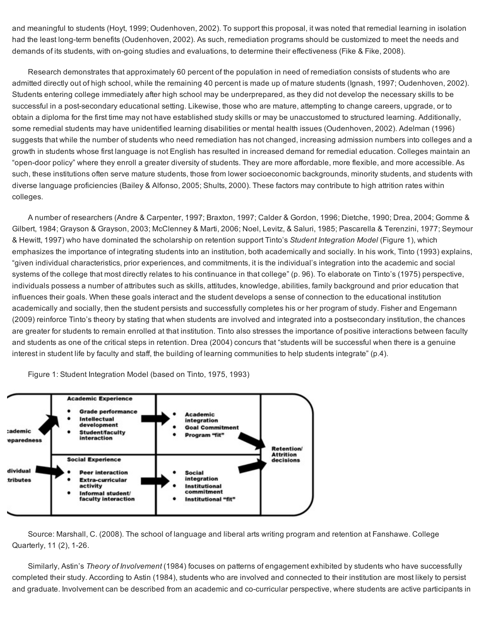and meaningful to students (Hoyt, 1999; Oudenhoven, 2002). To support this proposal, it was noted that remedial learning in isolation had the least long-term benefits (Oudenhoven, 2002). As such, remediation programs should be customized to meet the needs and demands of its students, with on-going studies and evaluations, to determine their effectiveness (Fike & Fike, 2008).

Research demonstrates that approximately 60 percent of the population in need of remediation consists of students who are admitted directly out of high school, while the remaining 40 percent is made up of mature students (Ignash, 1997; Oudenhoven, 2002). Students entering college immediately after high school may be underprepared, as they did not develop the necessary skills to be successful in a post-secondary educational setting. Likewise, those who are mature, attempting to change careers, upgrade, or to obtain a diploma for the first time may not have established study skills or may be unaccustomed to structured learning. Additionally, some remedial students may have unidentified learning disabilities or mental health issues (Oudenhoven, 2002). Adelman (1996) suggests that while the number of students who need remediation has not changed, increasing admission numbers into colleges and a growth in students whose first language is not English has resulted in increased demand for remedial education. Colleges maintain an "open-door policy" where they enroll a greater diversity of students. They are more affordable, more flexible, and more accessible. As such, these institutions often serve mature students, those from lower socioeconomic backgrounds, minority students, and students with diverse language proficiencies (Bailey & Alfonso, 2005; Shults, 2000). These factors may contribute to high attrition rates within colleges.

A number of researchers (Andre & Carpenter, 1997; Braxton, 1997; Calder & Gordon, 1996; Dietche, 1990; Drea, 2004; Gomme & Gilbert, 1984; Grayson & Grayson, 2003; McClenney & Marti, 2006; Noel, Levitz, & Saluri, 1985; Pascarella & Terenzini, 1977; Seymour & Hewitt, 1997) who have dominated the scholarship on retention support Tinto's *Student Integration Model* (Figure 1), which emphasizes the importance of integrating students into an institution, both academically and socially. In his work, Tinto (1993) explains, "given individual characteristics, prior experiences, and commitments, it is the individual's integration into the academic and social systems of the college that most directly relates to his continuance in that college" (p. 96). To elaborate on Tinto's (1975) perspective, individuals possess a number of attributes such as skills, attitudes, knowledge, abilities, family background and prior education that influences their goals. When these goals interact and the student develops a sense of connection to the educational institution academically and socially, then the student persists and successfully completes his or her program of study. Fisher and Engemann (2009) reinforce Tinto's theory by stating that when students are involved and integrated into a postsecondary institution, the chances are greater for students to remain enrolled at that institution. Tinto also stresses the importance of positive interactions between faculty and students as one of the critical steps in retention. Drea (2004) concurs that "students will be successful when there is a genuine interest in student life by faculty and staff, the building of learning communities to help students integrate" (p.4).

Figure 1: Student Integration Model (based on Tinto, 1975, 1993)



Source: Marshall, C. (2008). The school of language and liberal arts writing program and retention at Fanshawe. College Quarterly, 11 (2), 1-26.

Similarly, Astin's *Theory of Involvement* (1984) focuses on patterns of engagement exhibited by students who have successfully completed their study. According to Astin (1984), students who are involved and connected to their institution are most likely to persist and graduate. Involvement can be described from an academic and co-curricular perspective, where students are active participants in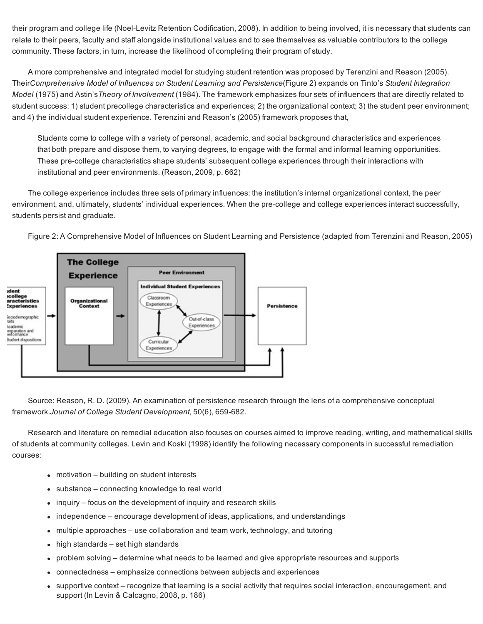their program and college life (Noel-Levitz Retention Codification, 2008). In addition to being involved, it is necessary that students can relate to their peers, faculty and staff alongside institutional values and to see themselves as valuable contributors to the college community. These factors, in turn, increase the likelihood of completing their program of study.

A more comprehensive and integrated model for studying student retention was proposed by Terenzini and Reason (2005). Their*Comprehensive Model of Influences on Student Learning and Persistence*(Figure 2) expands on Tinto's *Student Integration Model* (1975) and Astin's*Theory of Involvement* (1984). The framework emphasizes four sets of influencers that are directly related to student success: 1) student precollege characteristics and experiences; 2) the organizational context; 3) the student peer environment; and 4) the individual student experience. Terenzini and Reason's (2005) framework proposes that,

Students come to college with a variety of personal, academic, and social background characteristics and experiences that both prepare and dispose them, to varying degrees, to engage with the formal and informal learning opportunities. These pre-college characteristics shape students' subsequent college experiences through their interactions with institutional and peer environments. (Reason, 2009, p. 662)

The college experience includes three sets of primary influences: the institution's internal organizational context, the peer environment, and, ultimately, students' individual experiences. When the pre-college and college experiences interact successfully, students persist and graduate.

Figure 2: A Comprehensive Model of Influences on Student Learning and Persistence (adapted from Terenzini and Reason, 2005)



Source: Reason, R. D. (2009). An examination of persistence research through the lens of a comprehensive conceptual framework.*Journal* of College Student Development, 50(6), 659-682.

Research and literature on remedial education also focuses on courses aimed to improve reading, writing, and mathematical skills of students at community colleges. Levin and Koski (1998) identify the following necessary components in successful remediation courses:

- motivation building on student interests
- substance connecting knowledge to real world
- inquiry focus on the development of inquiry and research skills
- independence encourage development of ideas, applications, and understandings  $\bullet$
- multiple approaches use collaboration and team work, technology, and tutoring  $\bullet$
- high standards set high standards  $\bullet$
- problem solving determine what needs to be learned and give appropriate resources and supports  $\bullet$
- connectedness emphasize connections between subjects and experiences
- supportive context recognize that learning is a social activity that requires social interaction, encouragement, and support (In Levin & Calcagno, 2008, p. 186)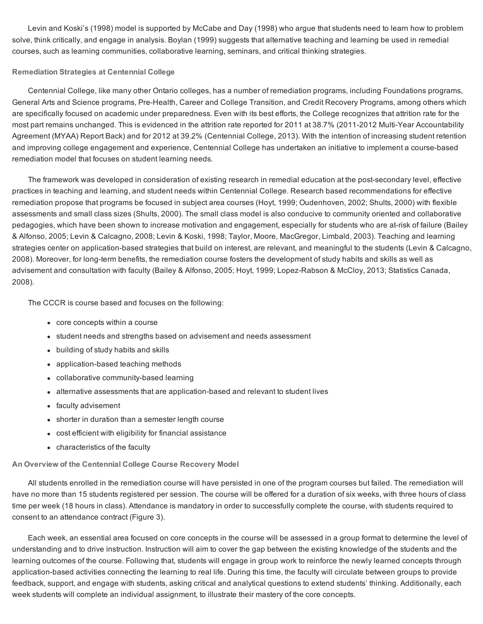Levin and Koski's (1998) model is supported by McCabe and Day (1998) who argue that students need to learn how to problem solve, think critically, and engage in analysis. Boylan (1999) suggests that alternative teaching and learning be used in remedial courses, such as learning communities, collaborative learning, seminars, and critical thinking strategies.

### Remediation Strategies at Centennial College

Centennial College, like many other Ontario colleges, has a number of remediation programs, including Foundations programs, General Arts and Science programs, Pre-Health, Career and College Transition, and Credit Recovery Programs, among others which are specifically focused on academic under preparedness. Even with its best efforts, the College recognizes that attrition rate for the most part remains unchanged. This is evidenced in the attrition rate reported for 2011 at 38.7% (2011-2012 Multi-Year Accountability Agreement (MYAA) Report Back) and for 2012 at 39.2% (Centennial College, 2013). With the intention of increasing student retention and improving college engagement and experience, Centennial College has undertaken an initiative to implement a course-based remediation model that focuses on student learning needs.

The framework was developed in consideration of existing research in remedial education at the post-secondary level, effective practices in teaching and learning, and student needs within Centennial College. Research based recommendations for effective remediation propose that programs be focused in subject area courses (Hoyt, 1999; Oudenhoven, 2002; Shults, 2000) with flexible assessments and small class sizes (Shults, 2000). The small class model is also conducive to community oriented and collaborative pedagogies, which have been shown to increase motivation and engagement, especially for students who are at-risk of failure (Bailey & Alfonso, 2005; Levin & Calcagno, 2008; Levin & Koski, 1998; Taylor, Moore, MacGregor, Limbald, 2003). Teaching and learning strategies center on application-based strategies that build on interest, are relevant, and meaningful to the students (Levin & Calcagno, 2008). Moreover, for long-term benefits, the remediation course fosters the development of study habits and skills as well as advisement and consultation with faculty (Bailey & Alfonso, 2005; Hoyt, 1999; Lopez-Rabson & McCloy, 2013; Statistics Canada, 2008).

The CCCR is course based and focuses on the following:

- core concepts within a course
- student needs and strengths based on advisement and needs assessment
- building of study habits and skills
- application-based teaching methods
- collaborative community-based learning
- alternative assessments that are application-based and relevant to student lives
- faculty advisement
- shorter in duration than a semester length course
- cost efficient with eligibility for financial assistance
- characteristics of the faculty

# An Overview of the Centennial College Course Recovery Model

All students enrolled in the remediation course will have persisted in one of the program courses but failed. The remediation will have no more than 15 students registered per session. The course will be offered for a duration of six weeks, with three hours of class time per week (18 hours in class). Attendance is mandatory in order to successfully complete the course, with students required to consent to an attendance contract (Figure 3).

Each week, an essential area focused on core concepts in the course will be assessed in a group format to determine the level of understanding and to drive instruction. Instruction will aim to cover the gap between the existing knowledge of the students and the learning outcomes of the course. Following that, students will engage in group work to reinforce the newly learned concepts through application-based activities connecting the learning to real life. During this time, the faculty will circulate between groups to provide feedback, support, and engage with students, asking critical and analytical questions to extend students' thinking. Additionally, each week students will complete an individual assignment, to illustrate their mastery of the core concepts.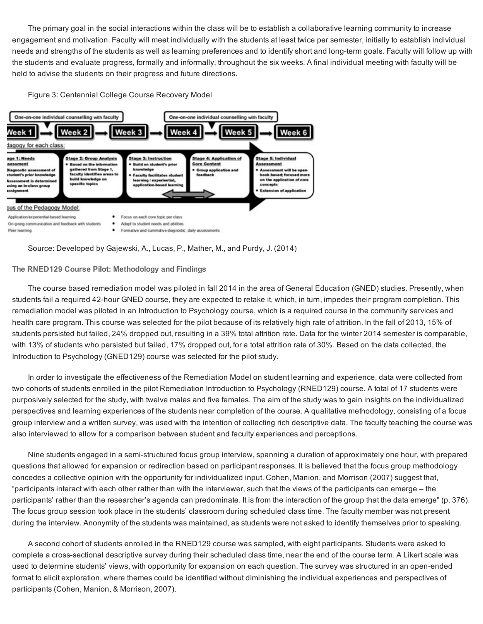The primary goal in the social interactions within the class will be to establish a collaborative learning community to increase engagement and motivation. Faculty will meet individually with the students at least twice per semester, initially to establish individual needs and strengths of the students as well as learning preferences and to identify short and long-term goals. Faculty will follow up with the students and evaluate progress, formally and informally, throughout the six weeks. A final individual meeting with faculty will be held to advise the students on their progress and future directions.





Source: Developed by Gajewski, A., Lucas, P., Mather, M., and Purdy, J. (2014)

# The RNED129 Course Pilot: Methodology and Findings

The course based remediation model was piloted in fall 2014 in the area of General Education (GNED) studies. Presently, when students fail a required 42-hour GNED course, they are expected to retake it, which, in turn, impedes their program completion. This remediation model was piloted in an Introduction to Psychology course, which is a required course in the community services and health care program. This course was selected for the pilot because of its relatively high rate of attrition. In the fall of 2013, 15% of students persisted but failed, 24% dropped out, resulting in a 39% total attrition rate. Data for the winter 2014 semester is comparable, with 13% of students who persisted but failed, 17% dropped out, for a total attrition rate of 30%. Based on the data collected, the Introduction to Psychology (GNED129) course was selected for the pilot study.

In order to investigate the effectiveness of the Remediation Model on student learning and experience, data were collected from two cohorts of students enrolled in the pilot Remediation Introduction to Psychology (RNED129) course. A total of 17 students were purposively selected for the study, with twelve males and five females. The aim of the study was to gain insights on the individualized perspectives and learning experiences of the students near completion of the course. A qualitative methodology, consisting of a focus group interview and a written survey, was used with the intention of collecting rich descriptive data. The faculty teaching the course was also interviewed to allow for a comparison between student and faculty experiences and perceptions.

Nine students engaged in a semi-structured focus group interview, spanning a duration of approximately one hour, with prepared questions that allowed for expansion or redirection based on participant responses. It is believed that the focus group methodology concedes a collective opinion with the opportunity for individualized input. Cohen, Manion, and Morrison (2007) suggest that, "participants interact with each other rather than with the interviewer, such that the views of the participants can emerge – the participants' rather than the researcher's agenda can predominate. It is from the interaction of the group that the data emerge" (p. 376). The focus group session took place in the students' classroom during scheduled class time. The faculty member was not present during the interview. Anonymity of the students was maintained, as students were not asked to identify themselves prior to speaking.

A second cohort of students enrolled in the RNED129 course was sampled, with eight participants. Students were asked to complete a cross-sectional descriptive survey during their scheduled class time, near the end of the course term. A Likert scale was used to determine students' views, with opportunity for expansion on each question. The survey was structured in an open-ended format to elicit exploration, where themes could be identified without diminishing the individual experiences and perspectives of participants (Cohen, Manion, & Morrison, 2007).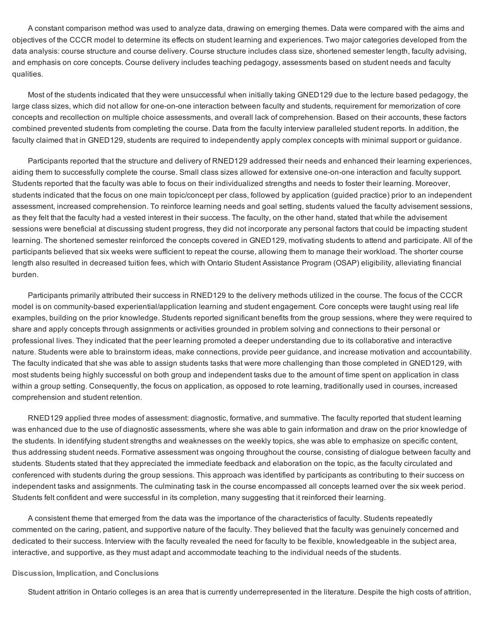A constant comparison method was used to analyze data, drawing on emerging themes. Data were compared with the aims and objectives of the CCCR model to determine its effects on student learning and experiences. Two major categories developed from the data analysis: course structure and course delivery. Course structure includes class size, shortened semester length, faculty advising, and emphasis on core concepts. Course delivery includes teaching pedagogy, assessments based on student needs and faculty qualities.

Most of the students indicated that they were unsuccessful when initially taking GNED129 due to the lecture based pedagogy, the large class sizes, which did not allow for one-on-one interaction between faculty and students, requirement for memorization of core concepts and recollection on multiple choice assessments, and overall lack of comprehension. Based on their accounts, these factors combined prevented students from completing the course. Data from the faculty interview paralleled student reports. In addition, the faculty claimed that in GNED129, students are required to independently apply complex concepts with minimal support or guidance.

Participants reported that the structure and delivery of RNED129 addressed their needs and enhanced their learning experiences, aiding them to successfully complete the course. Small class sizes allowed for extensive one-on-one interaction and faculty support. Students reported that the faculty was able to focus on their individualized strengths and needs to foster their learning. Moreover, students indicated that the focus on one main topic/concept per class, followed by application (guided practice) prior to an independent assessment, increased comprehension. To reinforce learning needs and goal setting, students valued the faculty advisement sessions, as they felt that the faculty had a vested interest in their success. The faculty, on the other hand, stated that while the advisement sessions were beneficial at discussing student progress, they did not incorporate any personal factors that could be impacting student learning. The shortened semester reinforced the concepts covered in GNED129, motivating students to attend and participate. All of the participants believed that six weeks were sufficient to repeat the course, allowing them to manage their workload. The shorter course length also resulted in decreased tuition fees, which with Ontario Student Assistance Program (OSAP) eligibility, alleviating financial burden.

Participants primarily attributed their success in RNED129 to the delivery methods utilized in the course. The focus of the CCCR model is on community-based experiential/application learning and student engagement. Core concepts were taught using real life examples, building on the prior knowledge. Students reported significant benefits from the group sessions, where they were required to share and apply concepts through assignments or activities grounded in problem solving and connections to their personal or professional lives. They indicated that the peer learning promoted a deeper understanding due to its collaborative and interactive nature. Students were able to brainstorm ideas, make connections, provide peer guidance, and increase motivation and accountability. The faculty indicated that she was able to assign students tasks that were more challenging than those completed in GNED129, with most students being highly successful on both group and independent tasks due to the amount of time spent on application in class within a group setting. Consequently, the focus on application, as opposed to rote learning, traditionally used in courses, increased comprehension and student retention.

RNED129 applied three modes of assessment: diagnostic, formative, and summative. The faculty reported that student learning was enhanced due to the use of diagnostic assessments, where she was able to gain information and draw on the prior knowledge of the students. In identifying student strengths and weaknesses on the weekly topics, she was able to emphasize on specific content, thus addressing student needs. Formative assessment was ongoing throughout the course, consisting of dialogue between faculty and students. Students stated that they appreciated the immediate feedback and elaboration on the topic, as the faculty circulated and conferenced with students during the group sessions. This approach was identified by participants as contributing to their success on independent tasks and assignments. The culminating task in the course encompassed all concepts learned over the six week period. Students felt confident and were successful in its completion, many suggesting that it reinforced their learning.

A consistent theme that emerged from the data was the importance of the characteristics of faculty. Students repeatedly commented on the caring, patient, and supportive nature of the faculty. They believed that the faculty was genuinely concerned and dedicated to their success. Interview with the faculty revealed the need for faculty to be flexible, knowledgeable in the subject area, interactive, and supportive, as they must adapt and accommodate teaching to the individual needs of the students.

#### Discussion, Implication, and Conclusions

Student attrition in Ontario colleges is an area that is currently underrepresented in the literature. Despite the high costs of attrition,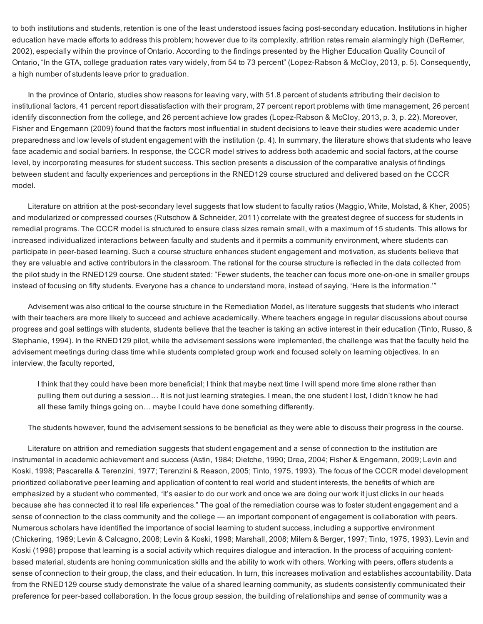to both institutions and students, retention is one of the least understood issues facing post-secondary education. Institutions in higher education have made efforts to address this problem; however due to its complexity, attrition rates remain alarmingly high (DeRemer, 2002), especially within the province of Ontario. According to the findings presented by the Higher Education Quality Council of Ontario, "In the GTA, college graduation rates vary widely, from 54 to 73 percent" (Lopez-Rabson & McCloy, 2013, p. 5). Consequently, a high number of students leave prior to graduation.

In the province of Ontario, studies show reasons for leaving vary, with 51.8 percent of students attributing their decision to institutional factors, 41 percent report dissatisfaction with their program, 27 percent report problems with time management, 26 percent identify disconnection from the college, and 26 percent achieve low grades (Lopez-Rabson & McCloy, 2013, p. 3, p. 22). Moreover, Fisher and Engemann (2009) found that the factors most influential in student decisions to leave their studies were academic under preparedness and low levels of student engagement with the institution (p. 4). In summary, the literature shows that students who leave face academic and social barriers. In response, the CCCR model strives to address both academic and social factors, at the course level, by incorporating measures for student success. This section presents a discussion of the comparative analysis of findings between student and faculty experiences and perceptions in the RNED129 course structured and delivered based on the CCCR model.

Literature on attrition at the post-secondary level suggests that low student to faculty ratios (Maggio, White, Molstad, & Kher, 2005) and modularized or compressed courses (Rutschow & Schneider, 2011) correlate with the greatest degree of success for students in remedial programs. The CCCR model is structured to ensure class sizes remain small, with a maximum of 15 students. This allows for increased individualized interactions between faculty and students and it permits a community environment, where students can participate in peer-based learning. Such a course structure enhances student engagement and motivation, as students believe that they are valuable and active contributors in the classroom. The rational for the course structure is reflected in the data collected from the pilot study in the RNED129 course. One student stated: "Fewer students, the teacher can focus more one-on-one in smaller groups instead of focusing on fifty students. Everyone has a chance to understand more, instead of saying, 'Here is the information.'"

Advisement was also critical to the course structure in the Remediation Model, as literature suggests that students who interact with their teachers are more likely to succeed and achieve academically. Where teachers engage in regular discussions about course progress and goal settings with students, students believe that the teacher is taking an active interest in their education (Tinto, Russo, & Stephanie, 1994). In the RNED129 pilot, while the advisement sessions were implemented, the challenge was that the faculty held the advisement meetings during class time while students completed group work and focused solely on learning objectives. In an interview, the faculty reported,

I think that they could have been more beneficial; I think that maybe next time I will spend more time alone rather than pulling them out during a session… It is not just learning strategies. I mean, the one student I lost, I didn't know he had all these family things going on… maybe I could have done something differently.

The students however, found the advisement sessions to be beneficial as they were able to discuss their progress in the course.

Literature on attrition and remediation suggests that student engagement and a sense of connection to the institution are instrumental in academic achievement and success (Astin, 1984; Dietche, 1990; Drea, 2004; Fisher & Engemann, 2009; Levin and Koski, 1998; Pascarella & Terenzini, 1977; Terenzini & Reason, 2005; Tinto, 1975, 1993). The focus of the CCCR model development prioritized collaborative peer learning and application of content to real world and student interests, the benefits of which are emphasized by a student who commented, "It's easier to do our work and once we are doing our work it just clicks in our heads because she has connected it to real life experiences." The goal of the remediation course was to foster student engagement and a sense of connection to the class community and the college — an important component of engagement is collaboration with peers. Numerous scholars have identified the importance of social learning to student success, including a supportive environment (Chickering, 1969; Levin & Calcagno, 2008; Levin & Koski, 1998; Marshall, 2008; Milem & Berger, 1997; Tinto, 1975, 1993). Levin and Koski (1998) propose that learning is a social activity which requires dialogue and interaction. In the process of acquiring contentbased material, students are honing communication skills and the ability to work with others. Working with peers, offers students a sense of connection to their group, the class, and their education. In turn, this increases motivation and establishes accountability. Data from the RNED129 course study demonstrate the value of a shared learning community, as students consistently communicated their preference for peerbased collaboration. In the focus group session, the building of relationships and sense of community was a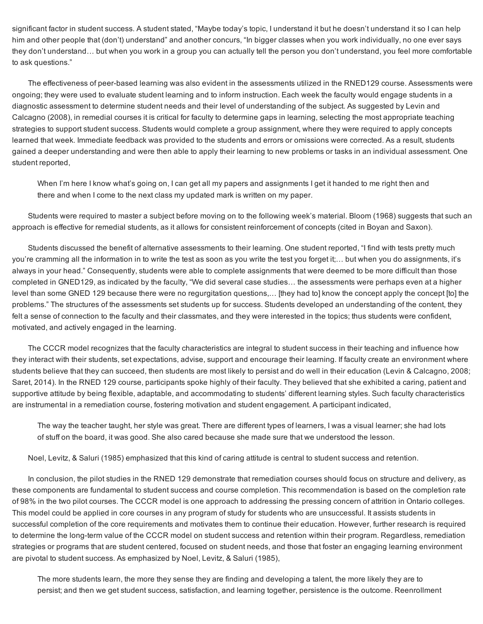significant factor in student success. A student stated, "Maybe today's topic, I understand it but he doesn't understand it so I can help him and other people that (don't) understand" and another concurs, "In bigger classes when you work individually, no one ever says they don't understand… but when you work in a group you can actually tell the person you don't understand, you feel more comfortable to ask questions."

The effectiveness of peer-based learning was also evident in the assessments utilized in the RNED129 course. Assessments were ongoing; they were used to evaluate student learning and to inform instruction. Each week the faculty would engage students in a diagnostic assessment to determine student needs and their level of understanding of the subject. As suggested by Levin and Calcagno (2008), in remedial courses it is critical for faculty to determine gaps in learning, selecting the most appropriate teaching strategies to support student success. Students would complete a group assignment, where they were required to apply concepts learned that week. Immediate feedback was provided to the students and errors or omissions were corrected. As a result, students gained a deeper understanding and were then able to apply their learning to new problems or tasks in an individual assessment. One student reported,

When I'm here I know what's going on, I can get all my papers and assignments I get it handed to me right then and there and when I come to the next class my updated mark is written on my paper.

Students were required to master a subject before moving on to the following week's material. Bloom (1968) suggests that such an approach is effective for remedial students, as it allows for consistent reinforcement of concepts (cited in Boyan and Saxon).

Students discussed the benefit of alternative assessments to their learning. One student reported, "I find with tests pretty much you're cramming all the information in to write the test as soon as you write the test you forget it;… but when you do assignments, it's always in your head." Consequently, students were able to complete assignments that were deemed to be more difficult than those completed in GNED129, as indicated by the faculty, "We did several case studies… the assessments were perhaps even at a higher level than some GNED 129 because there were no regurgitation questions,… [they had to] know the concept apply the concept [to] the problems." The structures of the assessments set students up for success. Students developed an understanding of the content, they felt a sense of connection to the faculty and their classmates, and they were interested in the topics; thus students were confident, motivated, and actively engaged in the learning.

The CCCR model recognizes that the faculty characteristics are integral to student success in their teaching and influence how they interact with their students, set expectations, advise, support and encourage their learning. If faculty create an environment where students believe that they can succeed, then students are most likely to persist and do well in their education (Levin & Calcagno, 2008; Saret, 2014). In the RNED 129 course, participants spoke highly of their faculty. They believed that she exhibited a caring, patient and supportive attitude by being flexible, adaptable, and accommodating to students' different learning styles. Such faculty characteristics are instrumental in a remediation course, fostering motivation and student engagement. A participant indicated,

The way the teacher taught, her style was great. There are different types of learners, I was a visual learner; she had lots of stuff on the board, it was good. She also cared because she made sure that we understood the lesson.

Noel, Levitz, & Saluri (1985) emphasized that this kind of caring attitude is central to student success and retention.

In conclusion, the pilot studies in the RNED 129 demonstrate that remediation courses should focus on structure and delivery, as these components are fundamental to student success and course completion. This recommendation is based on the completion rate of 98% in the two pilot courses. The CCCR model is one approach to addressing the pressing concern of attrition in Ontario colleges. This model could be applied in core courses in any program of study for students who are unsuccessful. It assists students in successful completion of the core requirements and motivates them to continue their education. However, further research is required to determine the long-term value of the CCCR model on student success and retention within their program. Regardless, remediation strategies or programs that are student centered, focused on student needs, and those that foster an engaging learning environment are pivotal to student success. As emphasized by Noel, Levitz, & Saluri (1985),

The more students learn, the more they sense they are finding and developing a talent, the more likely they are to persist; and then we get student success, satisfaction, and learning together, persistence is the outcome. Reenrollment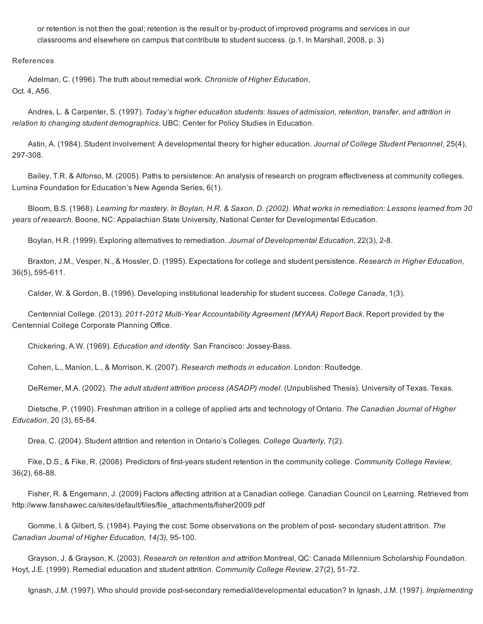or retention is not then the goal; retention is the result or by-product of improved programs and services in our classrooms and elsewhere on campus that contribute to student success. (p.1. In Marshall, 2008, p. 3)

References

Adelman, C. (1996). The truth about remedial work. *Chronicle of Higher Education*, Oct. 4, A56.

Andres, L. & Carpenter, S. (1997). *Today's higher education students: Issues of admission, retention, transfer, and attrition in relation to changing student demographics*. UBC: Center for Policy Studies in Education.

Astin, A. (1984). Student involvement: A developmental theory for higher education. *Journal of College Student Personnel*, 25(4), 297-308.

Bailey, T.R. & Alfonso, M. (2005). Paths to persistence: An analysis of research on program effectiveness at community colleges. Lumina Foundation for Education's New Agenda Series, 6(1).

Bloom, B.S. (1968). Learning for mastery. In Boylan, H.R. & Saxon, D. (2002). What works in remediation: Lessons learned from 30 *years of research*. Boone, NC: Appalachian State University, National Center for Developmental Education.

Boylan, H.R. (1999). Exploring alternatives to remediation. *Journal of Developmental Education*, 22(3), 28.

Braxton, J.M., Vesper, N., & Hossler, D. (1995). Expectations for college and student persistence. *Research in Higher Education*, 36(5), 595-611.

Calder, W. & Gordon, B. (1996). Developing institutional leadership for student success. *College Canada*, 1(3).

Centennial College. (2013). 2011-2012 Multi-Year Accountability Agreement (MYAA) Report Back. Report provided by the Centennial College Corporate Planning Office.

Chickering, A.W. (1969). *Education and identity*. San Francisco: Jossey-Bass.

Cohen, L., Manion, L., & Morrison, K. (2007). *Research methods in education*. London: Routledge.

DeRemer, M.A. (2002). *The adult student attrition process (ASADP) model*. (Unpublished Thesis). University of Texas. Texas.

Dietsche, P. (1990). Freshman attrition in a college of applied arts and technology of Ontario. *The Canadian Journal of Higher Education*, 20 (3), 65-84.

Drea, C. (2004). Student attrition and retention in Ontario's Colleges*. College Quarterly,* 7(2).

Fike, D.S., & Fike, R. (2008). Predictors of firstyears student retention in the community college. *Community College Review*, 36(2), 68-88.

Fisher, R. & Engemann, J. (2009) Factors affecting attrition at a Canadian college. Canadian Council on Learning. Retrieved from http://www.fanshawec.ca/sites/default/files/file\_attachments/fisher2009.pdf

Gomme, I. & Gilbert, S. (1984). Paying the cost: Some observations on the problem of post secondary student attrition. *The Canadian Journal of Higher Education, 14(3), 95-100.* 

Grayson, J. & Grayson, K. (2003). *Research on retention and attrition.*Montreal, QC: Canada Millennium Scholarship Foundation. Hoyt, J.E. (1999). Remedial education and student attrition. *Community College Review*, 27(2), 5172.

Ignash, J.M. (1997). Who should provide post-secondary remedial/developmental education? In Ignash, J.M. (1997). *Implementing*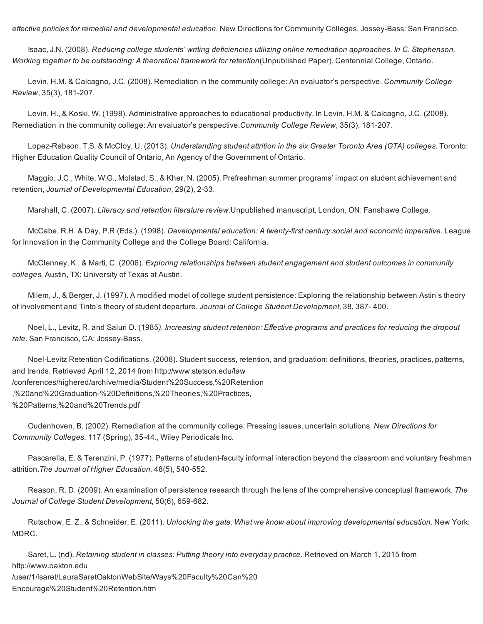*effective policies for remedial and developmental education. New Directions for Community Colleges. Jossey-Bass: San Francisco.* 

Isaac, J.N. (2008). *Reducing college students' writing deficiencies utilizing online remediation approaches. In C. Stephenson, Working together to be outstanding: A theoretical framework for retention*(Unpublished Paper). Centennial College, Ontario.

Levin, H.M. & Calcagno, J.C. (2008). Remediation in the community college: An evaluator's perspective. *Community College Review*, 35(3), 181-207.

Levin, H., & Koski, W. (1998). Administrative approaches to educational productivity. In Levin, H.M. & Calcagno, J.C. (2008). Remediation in the community college: An evaluator's perspective.*Community College Review*, 35(3), 181-207.

Lopez-Rabson, T.S. & McCloy, U. (2013). *Understanding student attrition in the six Greater Toronto Area (GTA) colleges. Toronto:* Higher Education Quality Council of Ontario, An Agency of the Government of Ontario.

Maggio, J.C., White, W.G., Molstad, S., & Kher, N. (2005). Prefreshman summer programs' impact on student achievement and retention, *Journal of Developmental Education*, 29(2), 233.

Marshall, C. (2007). *Literacy and retention literature review.*Unpublished manuscript, London, ON: Fanshawe College.

McCabe, R.H. & Day, P.R (Eds.). (1998). *Developmental education: A twentyfirst century social and economic imperative*. League for Innovation in the Community College and the College Board: California.

McClenney, K., & Marti, C. (2006). *Exploring relationships between student engagement and student outcomes in community colleges.* Austin, TX: University of Texas at Austin.

Milem, J., & Berger, J. (1997). A modified model of college student persistence: Exploring the relationship between Astin's theory of involvement and Tinto's theory of student departure. *Journal of College Student Development*, 38, 387 400.

Noel, L., Levitz, R. and Saluri D. (1985*). Increasing student retention: Effective programs and practices for reducing the dropout* rate. San Francisco, CA: Jossey-Bass.

Noel-Levitz Retention Codifications. (2008). Student success, retention, and graduation: definitions, theories, practices, patterns, and trends. Retrieved April 12, 2014 from http://www.stetson.edu/law /conferences/highered/archive/media/Student%20Success,%20Retention ,%20and%20Graduation%20Definitions,%20Theories,%20Practices, %20Patterns,%20and%20Trends.pdf

Oudenhoven, B. (2002). Remediation at the community college: Pressing issues, uncertain solutions. *New Directions for Community Colleges*, 117 (Spring), 3544., Wiley Periodicals Inc.

Pascarella, E. & Terenzini, P. (1977). Patterns of student-faculty informal interaction beyond the classroom and voluntary freshman attrition.*The Journal of Higher Education,* 48(5), 540552.

Reason, R. D. (2009). An examination of persistence research through the lens of the comprehensive conceptual framework. *The Journal of College Student Development*, 50(6), 659-682.

Rutschow, E. Z., & Schneider, E. (2011). *Unlocking the gate: What we know about improving developmental education.* New York: MDRC.

Saret, L. (nd). *Retaining student in classes: Putting theory into everyday practice*. Retrieved on March 1, 2015 from http://www.oakton.edu /user/1/lsaret/LauraSaretOaktonWebSite/Ways%20Faculty%20Can%20 Encourage%20Student%20Retention.htm